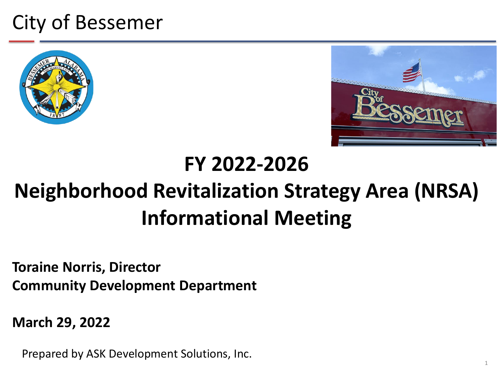# City of Bessemer





# **FY 2022-2026**

# **Neighborhood Revitalization Strategy Area (NRSA) Informational Meeting**

**Toraine Norris, Director Community Development Department** 

**March 29, 2022**

Prepared by ASK Development Solutions, Inc.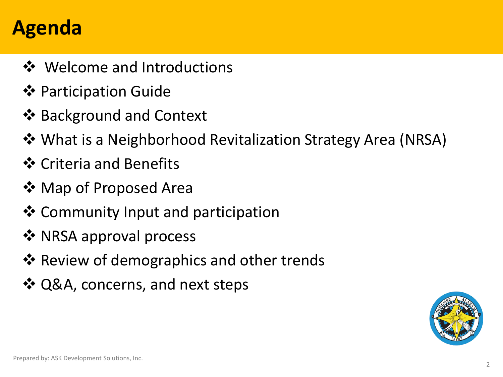# **Agenda**

- ❖ Welcome and Introductions
- ❖ Participation Guide
- ❖ Background and Context
- ❖ What is a Neighborhood Revitalization Strategy Area (NRSA)
- ❖ Criteria and Benefits
- ❖ Map of Proposed Area
- ❖ Community Input and participation
- ❖ NRSA approval process
- ❖ Review of demographics and other trends
- ❖ Q&A, concerns, and next steps

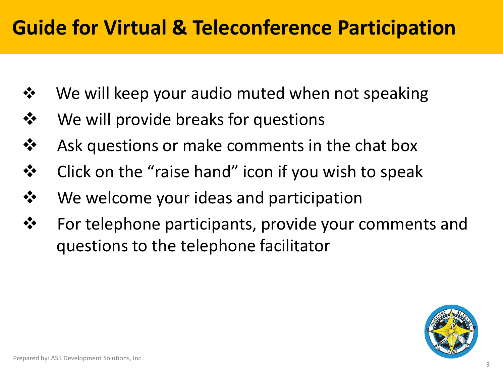# **Guide for Virtual & Teleconference Participation**

- ❖ We will keep your audio muted when not speaking
- ❖ We will provide breaks for questions
- ❖ Ask questions or make comments in the chat box
- ❖ Click on the "raise hand" icon if you wish to speak
- ❖ We welcome your ideas and participation
- ❖ For telephone participants, provide your comments and questions to the telephone facilitator

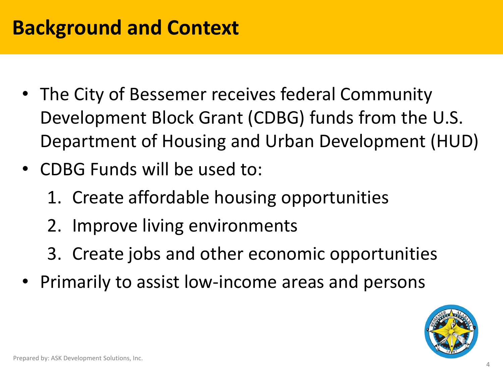# **Background and Context**

- The City of Bessemer receives federal Community Development Block Grant (CDBG) funds from the U.S. Department of Housing and Urban Development (HUD)
- CDBG Funds will be used to:
	- 1. Create affordable housing opportunities
	- 2. Improve living environments
	- 3. Create jobs and other economic opportunities
- Primarily to assist low-income areas and persons

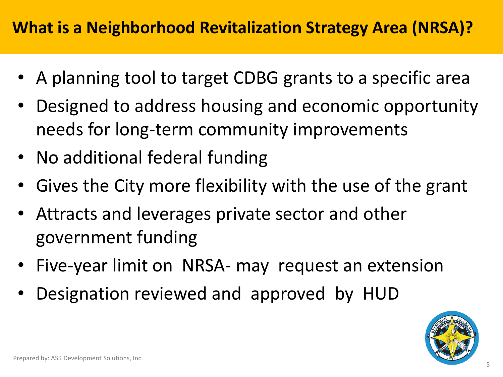## **What is a Neighborhood Revitalization Strategy Area (NRSA)?**

- A planning tool to target CDBG grants to a specific area
- Designed to address housing and economic opportunity needs for long-term community improvements
- No additional federal funding
- Gives the City more flexibility with the use of the grant
- Attracts and leverages private sector and other government funding
- Five-year limit on NRSA- may request an extension
- Designation reviewed and approved by HUD

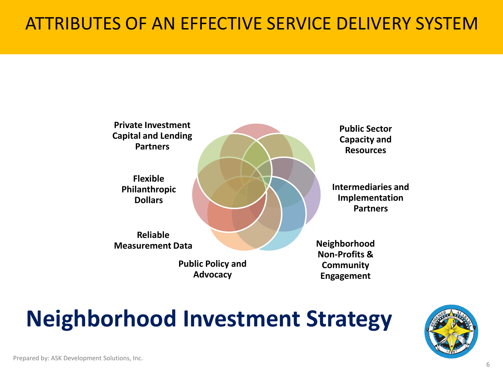# ATTRIBUTES OF AN EFFECTIVE SERVICE DELIVERY SYSTEM ATTRIBUTES OF AN EFFECTIVE SERVICE DELIVERY SYSTEM



# **Neighborhood Investment Strategy**

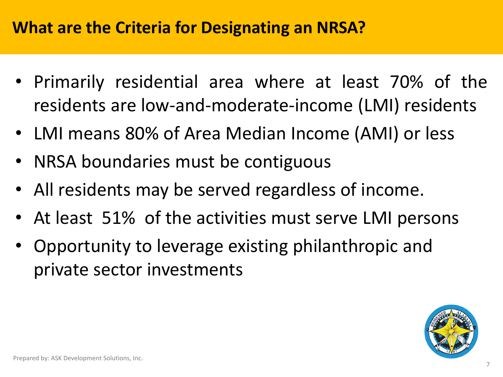## **What are the Criteria for Designating an NRSA?**

- Primarily residential area where at least 70% of the residents are low-and-moderate-income (LMI) residents
- LMI means 80% of Area Median Income (AMI) or less
- NRSA boundaries must be contiguous
- All residents may be served regardless of income.
- At least 51% of the activities must serve LMI persons
- Opportunity to leverage existing philanthropic and private sector investments

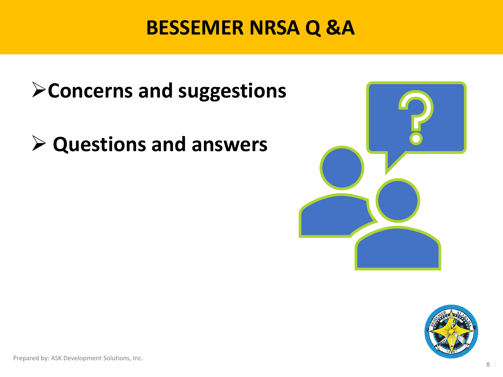# **BESSEMER NRSA Q &A**

# ➢**Concerns and suggestions**

# ➢ **Questions and answers**



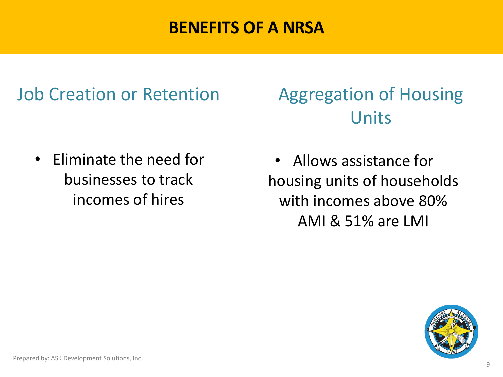### **BENEFITS OF A NRSA**

## Job Creation or Retention

• Eliminate the need for businesses to track incomes of hires

Aggregation of Housing Units

• Allows assistance for housing units of households with incomes above 80% AMI & 51% are LMI

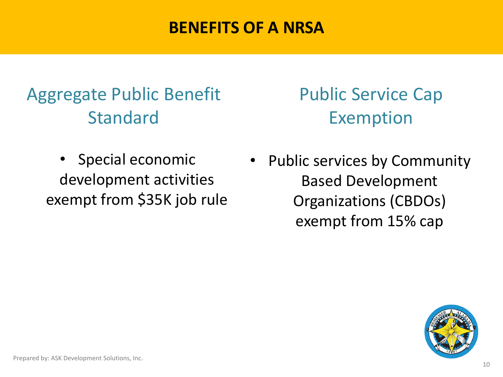### **BENEFITS OF A NRSA**

# Aggregate Public Benefit Standard

• Special economic development activities exempt from \$35K job rule Public Service Cap Exemption

Public services by Community Based Development Organizations (CBDOs) exempt from 15% cap

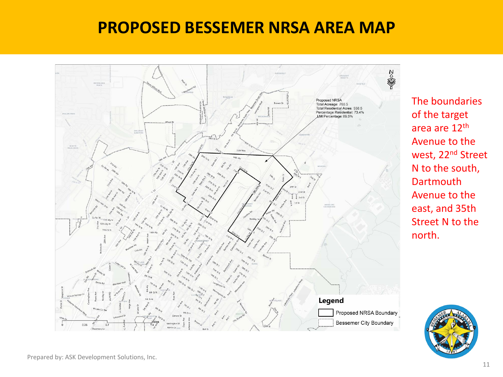### **PROPOSED BESSEMER NRSA AREA MAP**



The boundaries of the target area are 12th Avenue to the west, 22<sup>nd</sup> Street N to the south, **Dartmouth** Avenue to the east, and 35th Street N to the north.

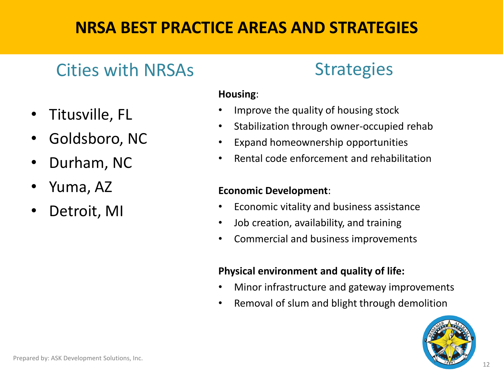### **NRSA BEST PRACTICE AREAS AND STRATEGIES**

## Cities with NRSAs

- Titusville, FL
- Goldsboro, NC
- Durham, NC
- Yuma, AZ
- Detroit, MI

## **Strategies**

#### **Housing**:

- Improve the quality of housing stock
- Stabilization through owner-occupied rehab
- Expand homeownership opportunities
- Rental code enforcement and rehabilitation

#### **Economic Development**:

- Economic vitality and business assistance
- Job creation, availability, and training
- Commercial and business improvements

#### **Physical environment and quality of life:**

- Minor infrastructure and gateway improvements
- Removal of slum and blight through demolition

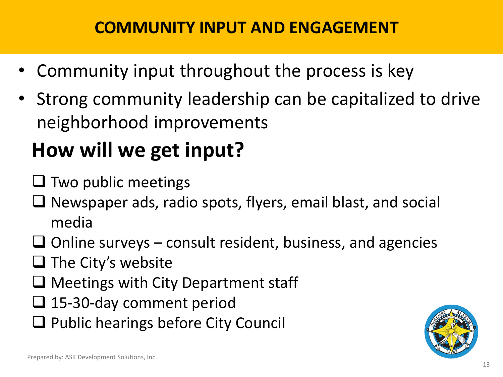### **COMMUNITY INPUT AND ENGAGEMENT**

- Community input throughout the process is key
- Strong community leadership can be capitalized to drive neighborhood improvements

# **How will we get input?**

- ❑ Two public meetings
- ❑ Newspaper ads, radio spots, flyers, email blast, and social media
- $\Box$  Online surveys consult resident, business, and agencies
- ❑ The City's website
- ❑ Meetings with City Department staff
- ❑ 15-30-day comment period
- ❑ Public hearings before City Council

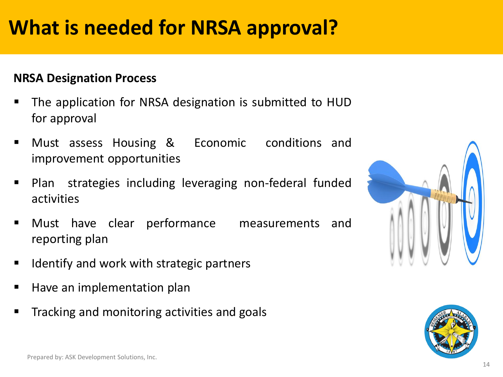# **What is needed for NRSA approval?**

#### **NRSA Designation Process**

- The application for NRSA designation is submitted to HUD for approval
- Must assess Housing & Economic conditions and improvement opportunities
- Plan strategies including leveraging non-federal funded activities
- Must have clear performance measurements and reporting plan
- Identify and work with strategic partners
- Have an implementation plan
- Tracking and monitoring activities and goals



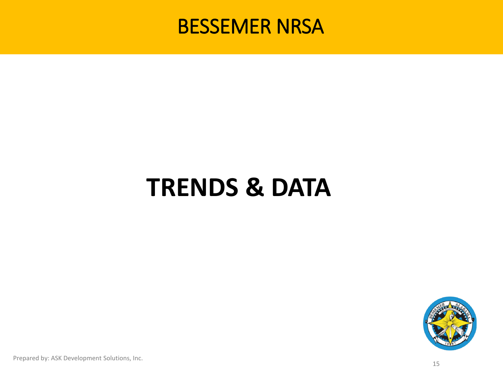

# **TRENDS & DATA**



Prepared by: ASK Development Solutions, Inc.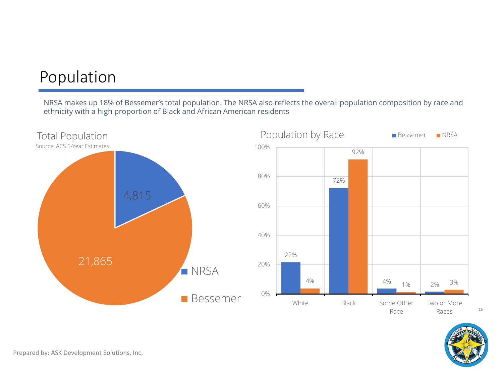### Population

NRSA makes up 18% of Bessemer's total population. The NRSA also reflects the overall population composition by race and ethnicity with a high proportion of Black and African American residents



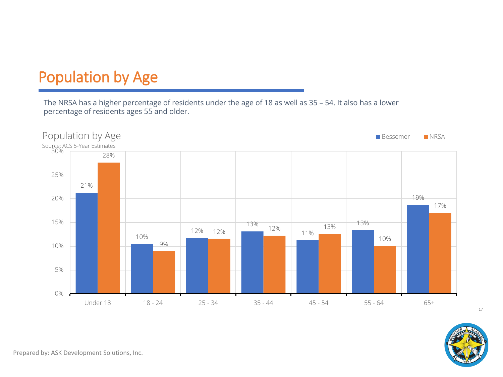### Population by Age

The NRSA has a higher percentage of residents under the age of 18 as well as 35 – 54. It also has a lower percentage of residents ages 55 and older.



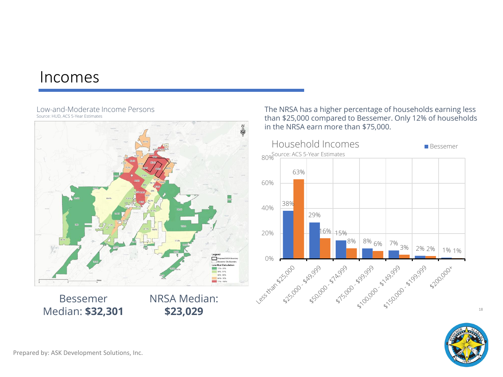### Incomes

#### Low-and-Moderate Income Persons Source: HUD, ACS 5-Year Estimates



Bessemer Median: **\$32,301**

NRSA Median: **\$23,029**

The NRSA has a higher percentage of households earning less than \$25,000 compared to Bessemer. Only 12% of households in the NRSA earn more than \$75,000.



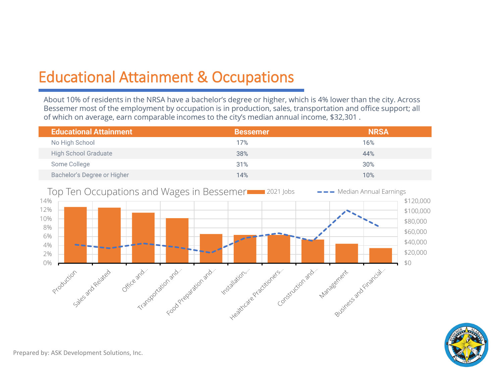### Educational Attainment & Occupations

About 10% of residents in the NRSA have a bachelor's degree or higher, which is 4% lower than the city. Across Bessemer most of the employment by occupation is in production, sales, transportation and office support; all of which on average, earn comparable incomes to the city's median annual income, \$32,301 .

| <b>Educational Attainment</b> | <b>Bessemer</b> | <b>NRSA</b> |
|-------------------------------|-----------------|-------------|
| No High School                | 17%             | 16%         |
| High School Graduate          | 38%             | 44%         |
| Some College                  | 31%             | 30%         |
| Bachelor's Degree or Higher   | 14%             | 10%         |



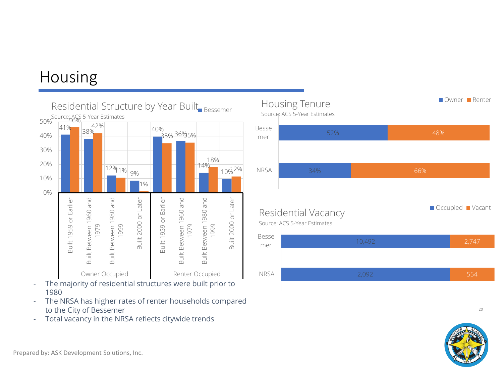## Housing



- 1980
- The NRSA has higher rates of renter households compared to the City of Bessemer
- Total vacancy in the NRSA reflects citywide trends



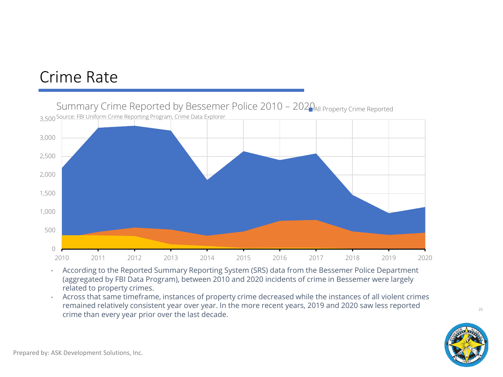### Crime Rate



- According to the Reported Summary Reporting System (SRS) data from the Bessemer Police Department (aggregated by FBI Data Program), between 2010 and 2020 incidents of crime in Bessemer were largely related to property crimes.

- Across that same timeframe, instances of property crime decreased while the instances of all violent crimes remained relatively consistent year over year. In the more recent years, 2019 and 2020 saw less reported crime than every year prior over the last decade.

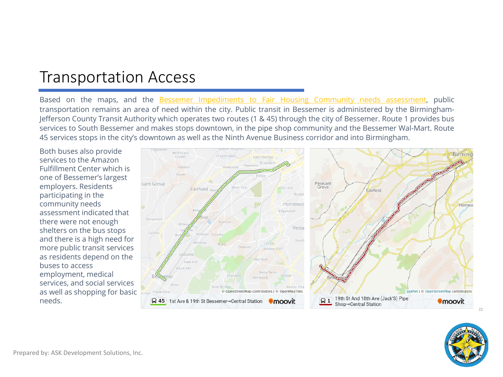### Transportation Access

Based on the maps, and the Bessemer [Impediments](https://www.bessemeral.org/wp-content/uploads/2020/08/Analysis-of-Impediments.pdf) to Fair Housing Community needs assessment, public transportation remains an area of need within the city. Public transit in Bessemer is administered by the Birmingham-Jefferson County Transit Authority which operates two routes (1 & 45) through the city of Bessemer. Route 1 provides bus services to South Bessemer and makes stops downtown, in the pipe shop community and the Bessemer Wal-Mart. Route 45 services stops in the city's downtown as well as the Ninth Avenue Business corridor and into Birmingham.

Both buses also provide services to the Amazon Fulfillment Center which is one of Bessemer's largest employers. Residents participating in the community needs assessment indicated that there were not enough shelters on the bus stops and there is a high need for more public transit services as residents depend on the buses to access employment, medical services, and social services as well as shopping for basic needs.



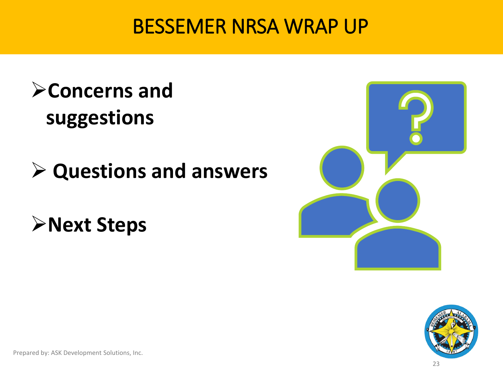# BESSEMER NRSA WRAP UP

# ➢**Concerns and suggestions**

➢ **Questions and answers**

➢**Next Steps**





Prepared by: ASK Development Solutions, Inc.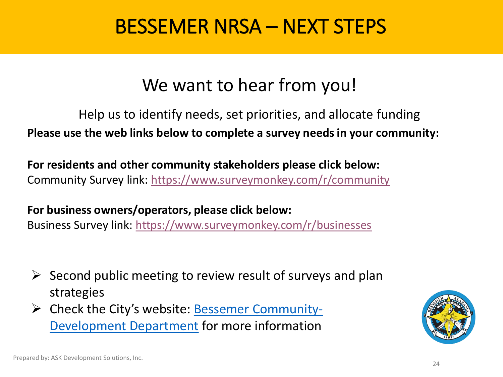# BESSEMER NRSA – NEXT STEPS

## We want to hear from you!

### Help us to identify needs, set priorities, and allocate funding **Please use the web links below to complete a survey needs in your community:**

**For residents and other community stakeholders please click below:**  Community Survey link: [https://www.surveymonkey.com/r/community](https://www.surveymonkey.com/r/6VMG6ZY)

**For business owners/operators, please click below:** Business Survey link: [https://www.surveymonkey.com/r/businesses](https://www.surveymonkey.com/r/6VD37TR)

- $\triangleright$  Second public meeting to review result of surveys and plan strategies
- $\triangleright$  Check the City's website: Bessemer Community-[Development Department](https://www.bessemeral.org/community-development-2/) for more information